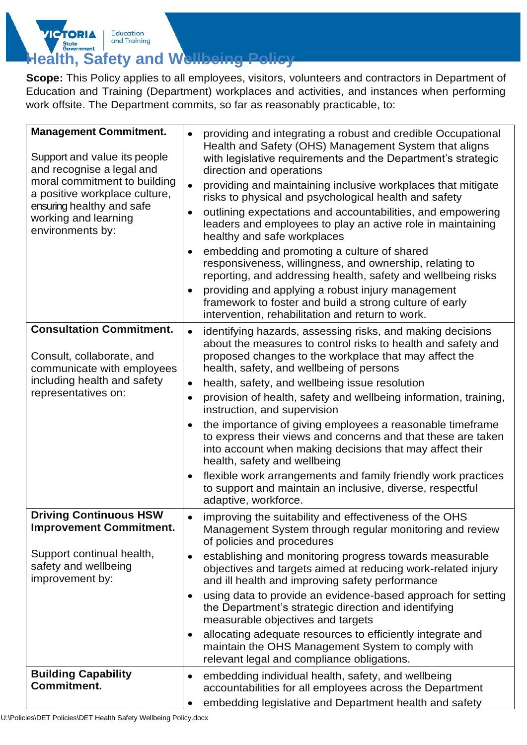## State<br>Government **Health, Safety and Wellbeing**

Education

and Training

 $T_{\rm C}$ 

**Scope:** This Policy applies to all employees, visitors, volunteers and contractors in Department of Education and Training (Department) workplaces and activities, and instances when performing work offsite. The Department commits, so far as reasonably practicable, to:

| <b>Management Commitment.</b><br>Support and value its people<br>and recognise a legal and<br>moral commitment to building<br>a positive workplace culture,<br>ensuring healthy and safe<br>working and learning<br>environments by: | providing and integrating a robust and credible Occupational<br>$\bullet$<br>Health and Safety (OHS) Management System that aligns<br>with legislative requirements and the Department's strategic<br>direction and operations<br>providing and maintaining inclusive workplaces that mitigate<br>$\bullet$<br>risks to physical and psychological health and safety<br>outlining expectations and accountabilities, and empowering<br>$\bullet$<br>leaders and employees to play an active role in maintaining<br>healthy and safe workplaces<br>embedding and promoting a culture of shared<br>$\bullet$<br>responsiveness, willingness, and ownership, relating to<br>reporting, and addressing health, safety and wellbeing risks<br>providing and applying a robust injury management<br>$\bullet$<br>framework to foster and build a strong culture of early<br>intervention, rehabilitation and return to work. |
|--------------------------------------------------------------------------------------------------------------------------------------------------------------------------------------------------------------------------------------|------------------------------------------------------------------------------------------------------------------------------------------------------------------------------------------------------------------------------------------------------------------------------------------------------------------------------------------------------------------------------------------------------------------------------------------------------------------------------------------------------------------------------------------------------------------------------------------------------------------------------------------------------------------------------------------------------------------------------------------------------------------------------------------------------------------------------------------------------------------------------------------------------------------------|
| <b>Consultation Commitment.</b><br>Consult, collaborate, and<br>communicate with employees<br>including health and safety<br>representatives on:                                                                                     | identifying hazards, assessing risks, and making decisions<br>$\bullet$<br>about the measures to control risks to health and safety and<br>proposed changes to the workplace that may affect the<br>health, safety, and wellbeing of persons<br>health, safety, and wellbeing issue resolution<br>$\bullet$<br>provision of health, safety and wellbeing information, training,<br>$\bullet$<br>instruction, and supervision<br>the importance of giving employees a reasonable timeframe<br>$\bullet$<br>to express their views and concerns and that these are taken<br>into account when making decisions that may affect their<br>health, safety and wellbeing<br>flexible work arrangements and family friendly work practices<br>$\bullet$<br>to support and maintain an inclusive, diverse, respectful<br>adaptive, workforce.                                                                                  |
| <b>Driving Continuous HSW</b><br><b>Improvement Commitment.</b><br>Support continual health,<br>safety and wellbeing<br>improvement by:                                                                                              | improving the suitability and effectiveness of the OHS<br>$\bullet$<br>Management System through regular monitoring and review<br>of policies and procedures<br>establishing and monitoring progress towards measurable<br>$\bullet$<br>objectives and targets aimed at reducing work-related injury<br>and ill health and improving safety performance<br>using data to provide an evidence-based approach for setting<br>$\bullet$<br>the Department's strategic direction and identifying<br>measurable objectives and targets<br>allocating adequate resources to efficiently integrate and<br>$\bullet$<br>maintain the OHS Management System to comply with<br>relevant legal and compliance obligations.                                                                                                                                                                                                        |
| <b>Building Capability</b><br><b>Commitment.</b>                                                                                                                                                                                     | embedding individual health, safety, and wellbeing<br>$\bullet$<br>accountabilities for all employees across the Department<br>embedding legislative and Department health and safety                                                                                                                                                                                                                                                                                                                                                                                                                                                                                                                                                                                                                                                                                                                                  |